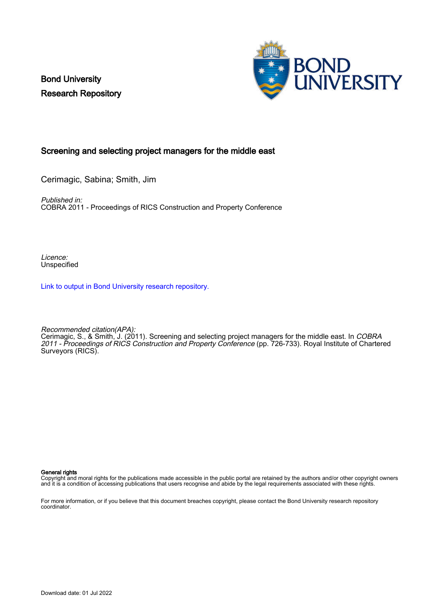Bond University Research Repository



#### Screening and selecting project managers for the middle east

Cerimagic, Sabina; Smith, Jim

Published in: COBRA 2011 - Proceedings of RICS Construction and Property Conference

Licence: Unspecified

[Link to output in Bond University research repository.](https://research.bond.edu.au/en/publications/55d8b1fb-a175-4756-9f03-0a33902ff507)

Recommended citation(APA):

Cerimagic, S., & Smith, J. (2011). Screening and selecting project managers for the middle east. In *COBRA* 2011 - Proceedings of RICS Construction and Property Conference (pp. 726-733). Royal Institute of Chartered Surveyors (RICS).

#### General rights

Copyright and moral rights for the publications made accessible in the public portal are retained by the authors and/or other copyright owners and it is a condition of accessing publications that users recognise and abide by the legal requirements associated with these rights.

For more information, or if you believe that this document breaches copyright, please contact the Bond University research repository coordinator.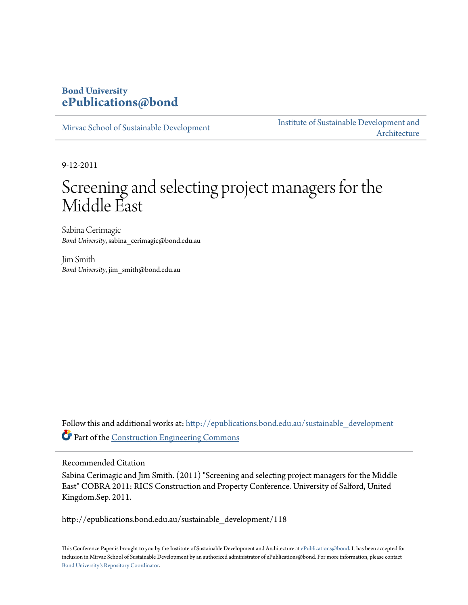#### **Bond University [ePublications@bond](http://epublications.bond.edu.au?utm_source=epublications.bond.edu.au%2Fsustainable_development%2F118&utm_medium=PDF&utm_campaign=PDFCoverPages)**

[Mirvac School of Sustainable Development](http://epublications.bond.edu.au/sustainable_development?utm_source=epublications.bond.edu.au%2Fsustainable_development%2F118&utm_medium=PDF&utm_campaign=PDFCoverPages)

[Institute of Sustainable Development and](http://epublications.bond.edu.au/sustainabledev?utm_source=epublications.bond.edu.au%2Fsustainable_development%2F118&utm_medium=PDF&utm_campaign=PDFCoverPages) [Architecture](http://epublications.bond.edu.au/sustainabledev?utm_source=epublications.bond.edu.au%2Fsustainable_development%2F118&utm_medium=PDF&utm_campaign=PDFCoverPages)

9-12-2011

# Screening and selecting project managers for the Middle East

Sabina Cerimagic *Bond University*, sabina\_cerimagic@bond.edu.au

Jim Smith *Bond University*, jim\_smith@bond.edu.au

Follow this and additional works at: [http://epublications.bond.edu.au/sustainable\\_development](http://epublications.bond.edu.au/sustainable_development?utm_source=epublications.bond.edu.au%2Fsustainable_development%2F118&utm_medium=PDF&utm_campaign=PDFCoverPages) Part of the [Construction Engineering Commons](http://network.bepress.com/hgg/discipline/775?utm_source=epublications.bond.edu.au%2Fsustainable_development%2F118&utm_medium=PDF&utm_campaign=PDFCoverPages)

Recommended Citation

Sabina Cerimagic and Jim Smith. (2011) "Screening and selecting project managers for the Middle East" COBRA 2011: RICS Construction and Property Conference. University of Salford, United Kingdom.Sep. 2011.

http://epublications.bond.edu.au/sustainable\_development/118

This Conference Paper is brought to you by the Institute of Sustainable Development and Architecture at [ePublications@bond.](http://epublications.bond.edu.au) It has been accepted for inclusion in Mirvac School of Sustainable Development by an authorized administrator of ePublications@bond. For more information, please contact [Bond University's Repository Coordinator](mailto:acass@bond.edu.au).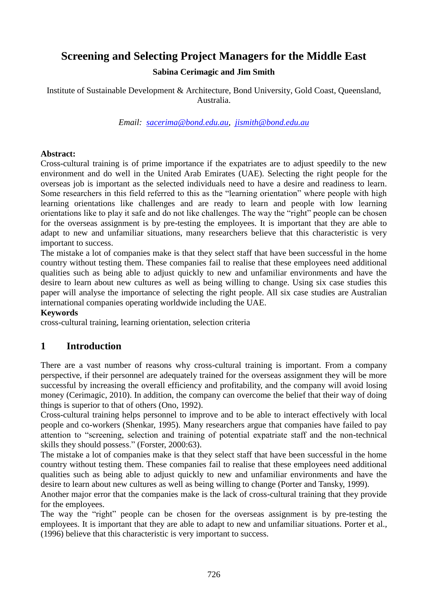## **Screening and Selecting Project Managers for the Middle East**

#### **Sabina Cerimagic and Jim Smith**

Institute of Sustainable Development & Architecture, Bond University, Gold Coast, Queensland, Australia.

*Email: [sacerima@bond.edu.au,](mailto:sacerima@bond.edu.au) [jismith@bond.edu.au](mailto:jismith@bond.edu.au)*

#### **Abstract:**

Cross-cultural training is of prime importance if the expatriates are to adjust speedily to the new environment and do well in the United Arab Emirates (UAE). Selecting the right people for the overseas job is important as the selected individuals need to have a desire and readiness to learn. Some researchers in this field referred to this as the "learning orientation" where people with high learning orientations like challenges and are ready to learn and people with low learning orientations like to play it safe and do not like challenges. The way the "right" people can be chosen for the overseas assignment is by pre-testing the employees. It is important that they are able to adapt to new and unfamiliar situations, many researchers believe that this characteristic is very important to success.

The mistake a lot of companies make is that they select staff that have been successful in the home country without testing them. These companies fail to realise that these employees need additional qualities such as being able to adjust quickly to new and unfamiliar environments and have the desire to learn about new cultures as well as being willing to change. Using six case studies this paper will analyse the importance of selecting the right people. All six case studies are Australian international companies operating worldwide including the UAE.

#### **Keywords**

cross-cultural training, learning orientation, selection criteria

#### **1 Introduction**

There are a vast number of reasons why cross-cultural training is important. From a company perspective, if their personnel are adequately trained for the overseas assignment they will be more successful by increasing the overall efficiency and profitability, and the company will avoid losing money (Cerimagic, 2010). In addition, the company can overcome the belief that their way of doing things is superior to that of others (Ono, 1992).

Cross-cultural training helps personnel to improve and to be able to interact effectively with local people and co-workers (Shenkar, 1995). Many researchers argue that companies have failed to pay attention to "screening, selection and training of potential expatriate staff and the non-technical skills they should possess." (Forster, 2000:63).

The mistake a lot of companies make is that they select staff that have been successful in the home country without testing them. These companies fail to realise that these employees need additional qualities such as being able to adjust quickly to new and unfamiliar environments and have the desire to learn about new cultures as well as being willing to change (Porter and Tansky, 1999).

Another major error that the companies make is the lack of cross-cultural training that they provide for the employees.

The way the "right" people can be chosen for the overseas assignment is by pre-testing the employees. It is important that they are able to adapt to new and unfamiliar situations. Porter et al., (1996) believe that this characteristic is very important to success.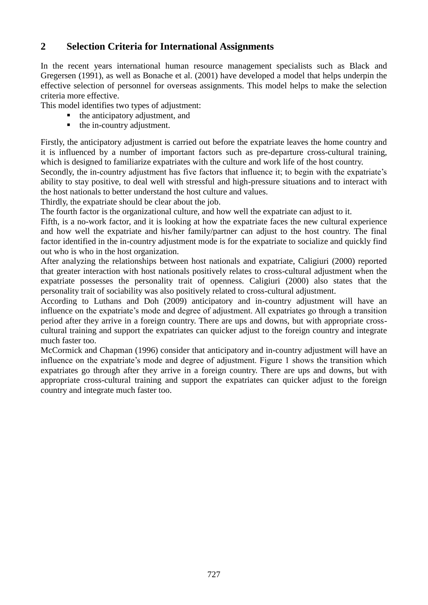### **2 Selection Criteria for International Assignments**

In the recent years international human resource management specialists such as Black and Gregersen (1991), as well as Bonache et al. (2001) have developed a model that helps underpin the effective selection of personnel for overseas assignments. This model helps to make the selection criteria more effective.

This model identifies two types of adjustment:

- $\blacksquare$  the anticipatory adjustment, and
- the in-country adjustment.

Firstly, the anticipatory adjustment is carried out before the expatriate leaves the home country and it is influenced by a number of important factors such as pre-departure cross-cultural training, which is designed to familiarize expatriates with the culture and work life of the host country.

Secondly, the in-country adjustment has five factors that influence it; to begin with the expatriate's ability to stay positive, to deal well with stressful and high-pressure situations and to interact with the host nationals to better understand the host culture and values.

Thirdly, the expatriate should be clear about the job.

The fourth factor is the organizational culture, and how well the expatriate can adjust to it.

Fifth, is a no-work factor, and it is looking at how the expatriate faces the new cultural experience and how well the expatriate and his/her family/partner can adjust to the host country. The final factor identified in the in-country adjustment mode is for the expatriate to socialize and quickly find out who is who in the host organization.

After analyzing the relationships between host nationals and expatriate, Caligiuri (2000) reported that greater interaction with host nationals positively relates to cross-cultural adjustment when the expatriate possesses the personality trait of openness. Caligiuri (2000) also states that the personality trait of sociability was also positively related to cross-cultural adjustment.

According to Luthans and Doh (2009) anticipatory and in-country adjustment will have an influence on the expatriate's mode and degree of adjustment. All expatriates go through a transition period after they arrive in a foreign country. There are ups and downs, but with appropriate crosscultural training and support the expatriates can quicker adjust to the foreign country and integrate much faster too.

McCormick and Chapman (1996) consider that anticipatory and in-country adjustment will have an influence on the expatriate's mode and degree of adjustment. Figure 1 shows the transition which expatriates go through after they arrive in a foreign country. There are ups and downs, but with appropriate cross-cultural training and support the expatriates can quicker adjust to the foreign country and integrate much faster too.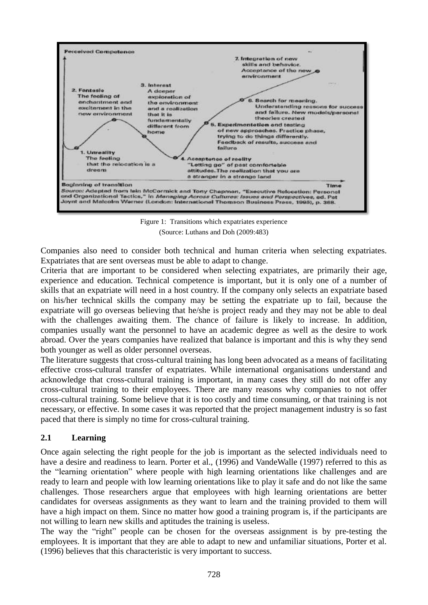

Figure 1: Transitions which expatriates experience (Source: Luthans and Doh (2009:483)

Companies also need to consider both technical and human criteria when selecting expatriates. Expatriates that are sent overseas must be able to adapt to change.

Criteria that are important to be considered when selecting expatriates, are primarily their age, experience and education. Technical competence is important, but it is only one of a number of skills that an expatriate will need in a host country. If the company only selects an expatriate based on his/her technical skills the company may be setting the expatriate up to fail, because the expatriate will go overseas believing that he/she is project ready and they may not be able to deal with the challenges awaiting them. The chance of failure is likely to increase. In addition, companies usually want the personnel to have an academic degree as well as the desire to work abroad. Over the years companies have realized that balance is important and this is why they send both younger as well as older personnel overseas.

The literature suggests that cross-cultural training has long been advocated as a means of facilitating effective cross-cultural transfer of expatriates. While international organisations understand and acknowledge that cross-cultural training is important, in many cases they still do not offer any cross-cultural training to their employees. There are many reasons why companies to not offer cross-cultural training. Some believe that it is too costly and time consuming, or that training is not necessary, or effective. In some cases it was reported that the project management industry is so fast paced that there is simply no time for cross-cultural training.

#### **2.1 Learning**

Once again selecting the right people for the job is important as the selected individuals need to have a desire and readiness to learn. Porter et al., (1996) and VandeWalle (1997) referred to this as the "learning orientation" where people with high learning orientations like challenges and are ready to learn and people with low learning orientations like to play it safe and do not like the same challenges. Those researchers argue that employees with high learning orientations are better candidates for overseas assignments as they want to learn and the training provided to them will have a high impact on them. Since no matter how good a training program is, if the participants are not willing to learn new skills and aptitudes the training is useless.

The way the "right" people can be chosen for the overseas assignment is by pre-testing the employees. It is important that they are able to adapt to new and unfamiliar situations, Porter et al. (1996) believes that this characteristic is very important to success.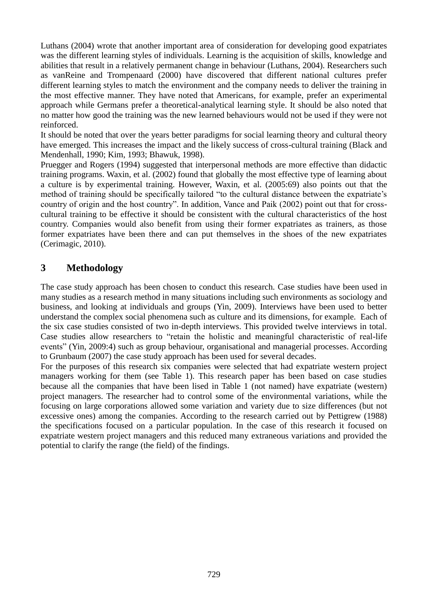Luthans (2004) wrote that another important area of consideration for developing good expatriates was the different learning styles of individuals. Learning is the acquisition of skills, knowledge and abilities that result in a relatively permanent change in behaviour (Luthans, 2004). Researchers such as vanReine and Trompenaard (2000) have discovered that different national cultures prefer different learning styles to match the environment and the company needs to deliver the training in the most effective manner. They have noted that Americans, for example, prefer an experimental approach while Germans prefer a theoretical-analytical learning style. It should be also noted that no matter how good the training was the new learned behaviours would not be used if they were not reinforced.

It should be noted that over the years better paradigms for social learning theory and cultural theory have emerged. This increases the impact and the likely success of cross-cultural training (Black and Mendenhall, 1990; Kim, 1993; Bhawuk, 1998).

Pruegger and Rogers (1994) suggested that interpersonal methods are more effective than didactic training programs. Waxin, et al. (2002) found that globally the most effective type of learning about a culture is by experimental training. However, Waxin, et al. (2005:69) also points out that the method of training should be specifically tailored "to the cultural distance between the expatriate's country of origin and the host country". In addition, Vance and Paik (2002) point out that for crosscultural training to be effective it should be consistent with the cultural characteristics of the host country. Companies would also benefit from using their former expatriates as trainers, as those former expatriates have been there and can put themselves in the shoes of the new expatriates (Cerimagic, 2010).

#### **3 Methodology**

The case study approach has been chosen to conduct this research. Case studies have been used in many studies as a research method in many situations including such environments as sociology and business, and looking at individuals and groups (Yin, 2009). Interviews have been used to better understand the complex social phenomena such as culture and its dimensions, for example. Each of the six case studies consisted of two in-depth interviews. This provided twelve interviews in total. Case studies allow researchers to "retain the holistic and meaningful characteristic of real-life events" (Yin, 2009:4) such as group behaviour, organisational and managerial processes. According to Grunbaum (2007) the case study approach has been used for several decades.

For the purposes of this research six companies were selected that had expatriate western project managers working for them (see Table 1). This research paper has been based on case studies because all the companies that have been lised in Table 1 (not named) have expatriate (western) project managers. The researcher had to control some of the environmental variations, while the focusing on large corporations allowed some variation and variety due to size differences (but not excessive ones) among the companies. According to the research carried out by Pettigrew (1988) the specifications focused on a particular population. In the case of this research it focused on expatriate western project managers and this reduced many extraneous variations and provided the potential to clarify the range (the field) of the findings.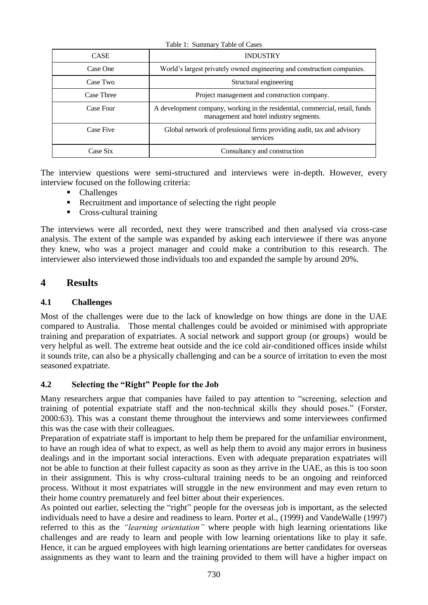CASE INDUSTRY Case One World's largest privately owned engineering and construction companies. Case Two Structural engineering Case Three Project management and construction company. Case Four A development company, working in the residential, commercial, retail, funds management and hotel industry segments. Case Five Global network of professional firms providing audit, tax and advisory services Case Six Consultancy and construction

Table 1: Summary Table of Cases

The interview questions were semi-structured and interviews were in-depth. However, every interview focused on the following criteria:

- Challenges
- Recruitment and importance of selecting the right people
- Cross-cultural training

The interviews were all recorded, next they were transcribed and then analysed via cross-case analysis. The extent of the sample was expanded by asking each interviewee if there was anyone they knew, who was a project manager and could make a contribution to this research. The interviewer also interviewed those individuals too and expanded the sample by around 20%.

#### **4 Results**

#### **4.1 Challenges**

Most of the challenges were due to the lack of knowledge on how things are done in the UAE compared to Australia. Those mental challenges could be avoided or minimised with appropriate training and preparation of expatriates. A social network and support group (or groups) would be very helpful as well. The extreme heat outside and the ice cold air-conditioned offices inside whilst it sounds trite, can also be a physically challenging and can be a source of irritation to even the most seasoned expatriate.

#### **4.2 Selecting the "Right" People for the Job**

Many researchers argue that companies have failed to pay attention to "screening, selection and training of potential expatriate staff and the non-technical skills they should poses." (Forster, 2000:63). This was a constant theme throughout the interviews and some interviewees confirmed this was the case with their colleagues.

Preparation of expatriate staff is important to help them be prepared for the unfamiliar environment, to have an rough idea of what to expect, as well as help them to avoid any major errors in business dealings and in the important social interactions. Even with adequate preparation expatriates will not be able to function at their fullest capacity as soon as they arrive in the UAE, as this is too soon in their assignment. This is why cross-cultural training needs to be an ongoing and reinforced process. Without it most expatriates will struggle in the new environment and may even return to their home country prematurely and feel bitter about their experiences.

As pointed out earlier, selecting the "right" people for the overseas job is important, as the selected individuals need to have a desire and readiness to learn. Porter et al., (1999) and VandeWalle (1997) referred to this as the "learning orientation" where people with high learning orientations like challenges and are ready to learn and people with low learning orientations like to play it safe. Hence, it can be argued employees with high learning orientations are better candidates for overseas assignments as they want to learn and the training provided to them will have a higher impact on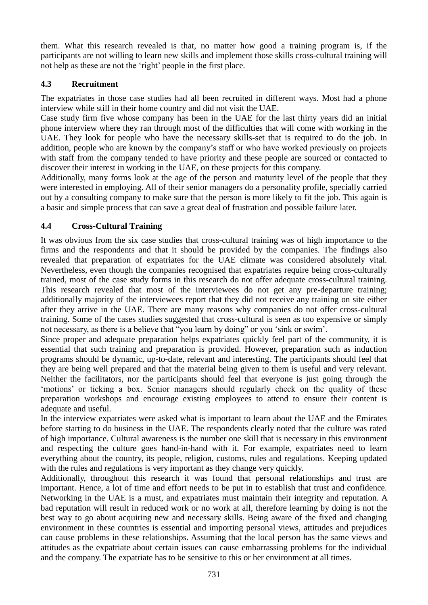them. What this research revealed is that, no matter how good a training program is, if the participants are not willing to learn new skills and implement those skills cross-cultural training will not help as these are not the 'right' people in the first place.

#### **4.3 Recruitment**

The expatriates in those case studies had all been recruited in different ways. Most had a phone interview while still in their home country and did not visit the UAE.

Case study firm five whose company has been in the UAE for the last thirty years did an initial phone interview where they ran through most of the difficulties that will come with working in the UAE. They look for people who have the necessary skills-set that is required to do the job. In addition, people who are known by the company's staff or who have worked previously on projects with staff from the company tended to have priority and these people are sourced or contacted to discover their interest in working in the UAE, on these projects for this company.

Additionally, many forms look at the age of the person and maturity level of the people that they were interested in employing. All of their senior managers do a personality profile, specially carried out by a consulting company to make sure that the person is more likely to fit the job. This again is a basic and simple process that can save a great deal of frustration and possible failure later.

#### **4.4 Cross-Cultural Training**

It was obvious from the six case studies that cross-cultural training was of high importance to the firms and the respondents and that it should be provided by the companies. The findings also revealed that preparation of expatriates for the UAE climate was considered absolutely vital. Nevertheless, even though the companies recognised that expatriates require being cross-culturally trained, most of the case study forms in this research do not offer adequate cross-cultural training. This research revealed that most of the interviewees do not get any pre-departure training; additionally majority of the interviewees report that they did not receive any training on site either after they arrive in the UAE. There are many reasons why companies do not offer cross-cultural training. Some of the cases studies suggested that cross-cultural is seen as too expensive or simply not necessary, as there is a believe that "you learn by doing" or you 'sink or swim'.

Since proper and adequate preparation helps expatriates quickly feel part of the community, it is essential that such training and preparation is provided. However, preparation such as induction programs should be dynamic, up-to-date, relevant and interesting. The participants should feel that they are being well prepared and that the material being given to them is useful and very relevant. Neither the facilitators, nor the participants should feel that everyone is just going through the ‗motions' or ticking a box. Senior managers should regularly check on the quality of these preparation workshops and encourage existing employees to attend to ensure their content is adequate and useful.

In the interview expatriates were asked what is important to learn about the UAE and the Emirates before starting to do business in the UAE. The respondents clearly noted that the culture was rated of high importance. Cultural awareness is the number one skill that is necessary in this environment and respecting the culture goes hand-in-hand with it. For example, expatriates need to learn everything about the country, its people, religion, customs, rules and regulations. Keeping updated with the rules and regulations is very important as they change very quickly.

Additionally, throughout this research it was found that personal relationships and trust are important. Hence, a lot of time and effort needs to be put in to establish that trust and confidence. Networking in the UAE is a must, and expatriates must maintain their integrity and reputation. A bad reputation will result in reduced work or no work at all, therefore learning by doing is not the best way to go about acquiring new and necessary skills. Being aware of the fixed and changing environment in these countries is essential and importing personal views, attitudes and prejudices can cause problems in these relationships. Assuming that the local person has the same views and attitudes as the expatriate about certain issues can cause embarrassing problems for the individual and the company. The expatriate has to be sensitive to this or her environment at all times.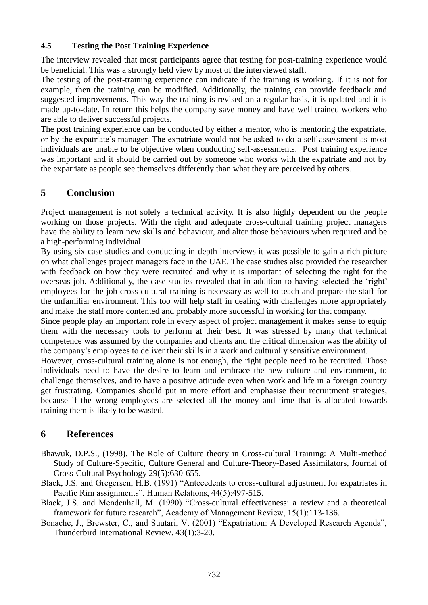#### **4.5 Testing the Post Training Experience**

The interview revealed that most participants agree that testing for post-training experience would be beneficial. This was a strongly held view by most of the interviewed staff.

The testing of the post-training experience can indicate if the training is working. If it is not for example, then the training can be modified. Additionally, the training can provide feedback and suggested improvements. This way the training is revised on a regular basis, it is updated and it is made up-to-date. In return this helps the company save money and have well trained workers who are able to deliver successful projects.

The post training experience can be conducted by either a mentor, who is mentoring the expatriate, or by the expatriate's manager. The expatriate would not be asked to do a self assessment as most individuals are unable to be objective when conducting self-assessments. Post training experience was important and it should be carried out by someone who works with the expatriate and not by the expatriate as people see themselves differently than what they are perceived by others.

#### **5 Conclusion**

Project management is not solely a technical activity. It is also highly dependent on the people working on those projects. With the right and adequate cross-cultural training project managers have the ability to learn new skills and behaviour, and alter those behaviours when required and be a high-performing individual .

By using six case studies and conducting in-depth interviews it was possible to gain a rich picture on what challenges project managers face in the UAE. The case studies also provided the researcher with feedback on how they were recruited and why it is important of selecting the right for the overseas job. Additionally, the case studies revealed that in addition to having selected the 'right' employees for the job cross-cultural training is necessary as well to teach and prepare the staff for the unfamiliar environment. This too will help staff in dealing with challenges more appropriately and make the staff more contented and probably more successful in working for that company.

Since people play an important role in every aspect of project management it makes sense to equip them with the necessary tools to perform at their best. It was stressed by many that technical competence was assumed by the companies and clients and the critical dimension was the ability of the company's employees to deliver their skills in a work and culturally sensitive environment.

However, cross-cultural training alone is not enough, the right people need to be recruited. Those individuals need to have the desire to learn and embrace the new culture and environment, to challenge themselves, and to have a positive attitude even when work and life in a foreign country get frustrating. Companies should put in more effort and emphasise their recruitment strategies, because if the wrong employees are selected all the money and time that is allocated towards training them is likely to be wasted.

#### **6 References**

- Bhawuk, D.P.S., (1998). The Role of Culture theory in Cross-cultural Training: A Multi-method Study of Culture-Specific, Culture General and Culture-Theory-Based Assimilators, Journal of Cross-Cultural Psychology 29(5):630-655.
- Black, J.S. and Gregersen, H.B. (1991) "Antecedents to cross-cultural adjustment for expatriates in Pacific Rim assignments", Human Relations, 44(5):497-515.
- Black, J.S. and Mendenhall, M. (1990) "Cross-cultural effectiveness: a review and a theoretical framework for future research", Academy of Management Review, 15(1):113-136.
- Bonache, J., Brewster, C., and Suutari, V. (2001) "Expatriation: A Developed Research Agenda", Thunderbird International Review. 43(1):3-20.